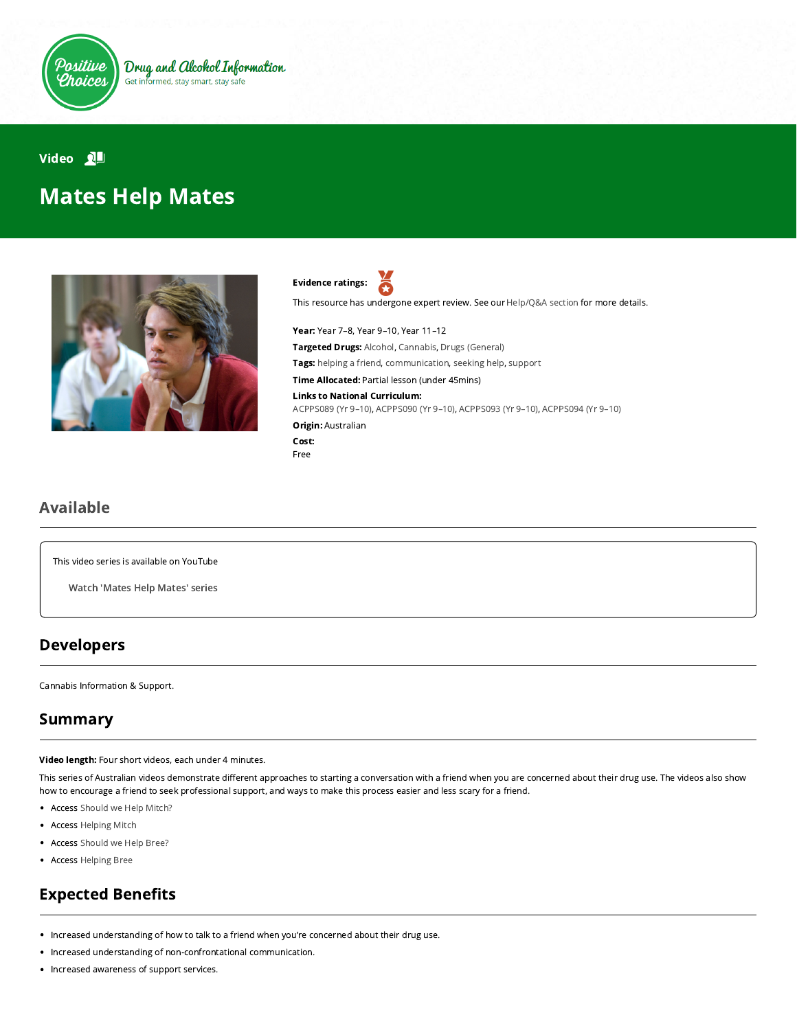

#### Video **NH**

# Mates Help Mates



Evidence ratings: Я

This resource has undergone expert review. See our [Help/Q&A section](https://positivechoices.org.au/help/questions-and-answers/) for more details.

Year: Year 7–8, Year 9–10, Year 11–12 Targeted Drugs: Alcohol, Cannabis, Drugs (General) Tags: helping a friend, communication, seeking help, support Time Allocated: Partial lesson (under 45mins) Links to National Curriculum: [ACPPS089 \(Yr 9–10\),](http://www.australiancurriculum.edu.au/Curriculum/ContentDescription/ACPPS089) [ACPPS090 \(Yr 9–10\),](http://www.australiancurriculum.edu.au/Curriculum/ContentDescription/ACPPS090) [ACPPS093 \(Yr 9–10\),](http://www.australiancurriculum.edu.au/Curriculum/ContentDescription/ACPPS093) [ACPPS094 \(Yr 9–10\)](http://www.australiancurriculum.edu.au/Curriculum/ContentDescription/ACPPS094) Origin: Australian Cost:

#### Free

#### Available

This video series is available on YouTube

Watch ['Mates](https://www.youtube.com/playlist?list=PL3_dOyGjNahqTh5zaiDUfviDRDmID9ZKw) Help Mates' series

### Developers

Cannabis Information & Support.

## Summary

Video length: Four short videos, each under 4 minutes.

This series of Australian videos demonstrate different approaches to starting a conversation with a friend when you are concerned about their drug use. The videos also show how to encourage a friend to seek professional support, and ways to make this process easier and less scary for a friend.

- Access [Should we Help Mitch?](https://www.youtube.com/watch?v=-CPAubz_D28&index=2&list=PL3_dOyGjNahqTh5zaiDUfviDRDmID9ZKw)
- Access [Helping Mitch](https://www.youtube.com/watch?v=Ke1Rv_R1UIA&list=PL3_dOyGjNahqTh5zaiDUfviDRDmID9ZKw&index=1)
- Access [Should we Help Bree?](https://www.youtube.com/watch?v=JOdpKoRDL9k&list=PL3_dOyGjNahqTh5zaiDUfviDRDmID9ZKw&index=3)
- Access [Helping Bree](https://www.youtube.com/watch?v=E5UUHFargfc&index=4&list=PL3_dOyGjNahqTh5zaiDUfviDRDmID9ZKw)

# **Expected Benefits**

- Increased understanding of how to talk to a friend when you're concerned about their drug use.
- Increased understanding of non-confrontational communication.
- Increased awareness of support services.